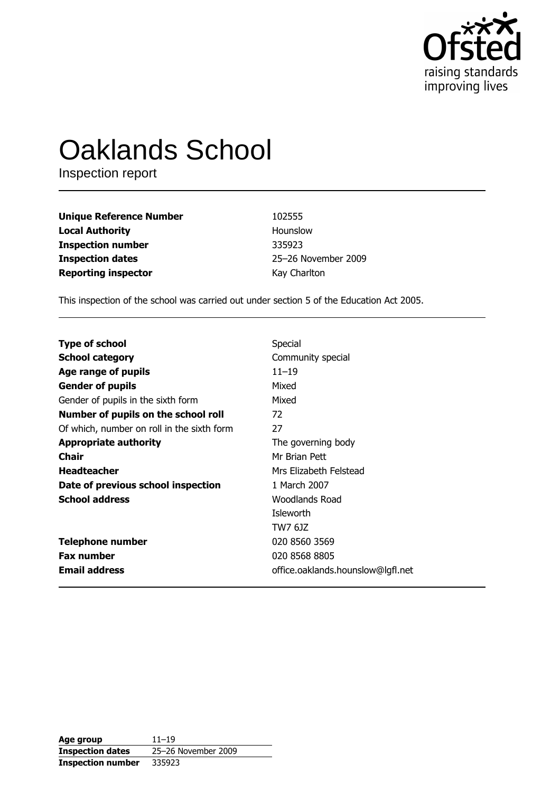

# **Oaklands School**

Inspection report

| <b>Unique Reference Number</b> | 102555              |
|--------------------------------|---------------------|
| <b>Local Authority</b>         | Hounslow            |
| <b>Inspection number</b>       | 335923              |
| <b>Inspection dates</b>        | 25-26 November 2009 |
| <b>Reporting inspector</b>     | Kay Charlton        |

This inspection of the school was carried out under section 5 of the Education Act 2005.

| <b>Type of school</b>                      | Special                           |
|--------------------------------------------|-----------------------------------|
| School category                            | Community special                 |
| Age range of pupils                        | $11 - 19$                         |
| <b>Gender of pupils</b>                    | Mixed                             |
| Gender of pupils in the sixth form         | Mixed                             |
| Number of pupils on the school roll        | 72                                |
| Of which, number on roll in the sixth form | 27                                |
| <b>Appropriate authority</b>               | The governing body                |
| Chair                                      | Mr Brian Pett                     |
| Headteacher                                | Mrs Elizabeth Felstead            |
| Date of previous school inspection         | 1 March 2007                      |
| <b>School address</b>                      | Woodlands Road                    |
|                                            | Isleworth                         |
|                                            | TW7 6JZ                           |
| <b>Telephone number</b>                    | 020 8560 3569                     |
| Fax number                                 | 020 8568 8805                     |
| <b>Email address</b>                       | office.oaklands.hounslow@lgfl.net |

| Age group                | $11 - 19$           |
|--------------------------|---------------------|
| <b>Inspection dates</b>  | 25-26 November 2009 |
| <b>Inspection number</b> | 335923              |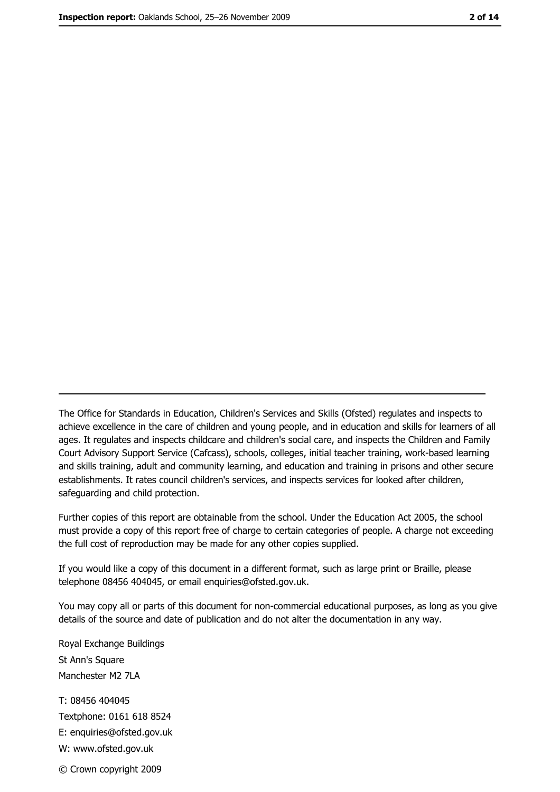The Office for Standards in Education, Children's Services and Skills (Ofsted) regulates and inspects to achieve excellence in the care of children and young people, and in education and skills for learners of all ages. It regulates and inspects childcare and children's social care, and inspects the Children and Family Court Advisory Support Service (Cafcass), schools, colleges, initial teacher training, work-based learning and skills training, adult and community learning, and education and training in prisons and other secure establishments. It rates council children's services, and inspects services for looked after children, safeguarding and child protection.

Further copies of this report are obtainable from the school. Under the Education Act 2005, the school must provide a copy of this report free of charge to certain categories of people. A charge not exceeding the full cost of reproduction may be made for any other copies supplied.

If you would like a copy of this document in a different format, such as large print or Braille, please telephone 08456 404045, or email enquiries@ofsted.gov.uk.

You may copy all or parts of this document for non-commercial educational purposes, as long as you give details of the source and date of publication and do not alter the documentation in any way.

Royal Exchange Buildings St Ann's Square Manchester M2 7LA T: 08456 404045 Textphone: 0161 618 8524 E: enquiries@ofsted.gov.uk W: www.ofsted.gov.uk © Crown copyright 2009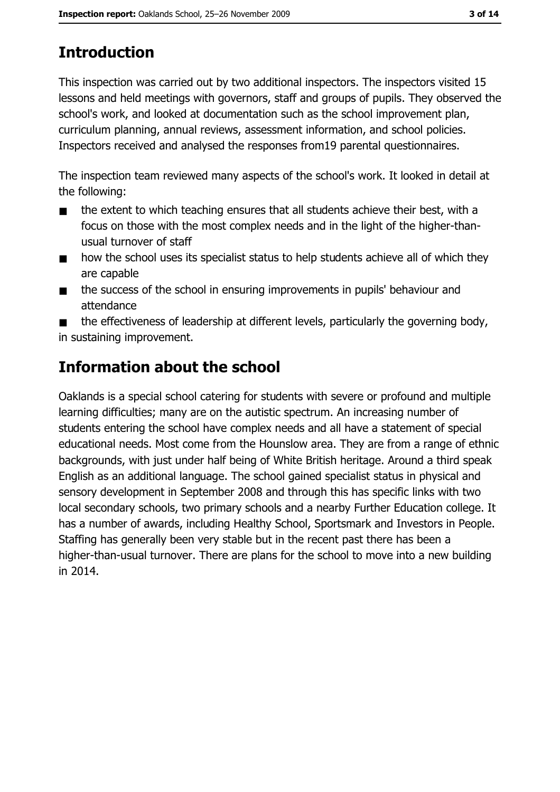# **Introduction**

This inspection was carried out by two additional inspectors. The inspectors visited 15 lessons and held meetings with governors, staff and groups of pupils. They observed the school's work, and looked at documentation such as the school improvement plan, curriculum planning, annual reviews, assessment information, and school policies. Inspectors received and analysed the responses from 19 parental questionnaires.

The inspection team reviewed many aspects of the school's work. It looked in detail at the following:

- the extent to which teaching ensures that all students achieve their best, with a  $\blacksquare$ focus on those with the most complex needs and in the light of the higher-thanusual turnover of staff
- how the school uses its specialist status to help students achieve all of which they  $\blacksquare$ are capable
- the success of the school in ensuring improvements in pupils' behaviour and  $\blacksquare$ attendance

the effectiveness of leadership at different levels, particularly the governing body, in sustaining improvement.

# Information about the school

Oaklands is a special school catering for students with severe or profound and multiple learning difficulties; many are on the autistic spectrum. An increasing number of students entering the school have complex needs and all have a statement of special educational needs. Most come from the Hounslow area. They are from a range of ethnic backgrounds, with just under half being of White British heritage. Around a third speak English as an additional language. The school gained specialist status in physical and sensory development in September 2008 and through this has specific links with two local secondary schools, two primary schools and a nearby Further Education college. It has a number of awards, including Healthy School, Sportsmark and Investors in People. Staffing has generally been very stable but in the recent past there has been a higher-than-usual turnover. There are plans for the school to move into a new building in 2014.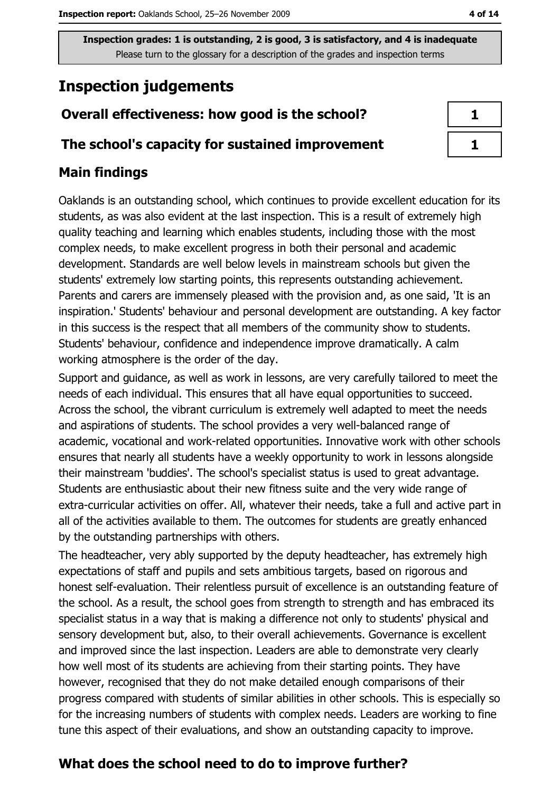## **Inspection judgements**

## Overall effectiveness: how good is the school?

#### The school's capacity for sustained improvement

## **Main findings**

Oaklands is an outstanding school, which continues to provide excellent education for its students, as was also evident at the last inspection. This is a result of extremely high quality teaching and learning which enables students, including those with the most complex needs, to make excellent progress in both their personal and academic development. Standards are well below levels in mainstream schools but given the students' extremely low starting points, this represents outstanding achievement. Parents and carers are immensely pleased with the provision and, as one said, 'It is an inspiration.' Students' behaviour and personal development are outstanding. A key factor in this success is the respect that all members of the community show to students. Students' behaviour, confidence and independence improve dramatically. A calm working atmosphere is the order of the day.

Support and guidance, as well as work in lessons, are very carefully tailored to meet the needs of each individual. This ensures that all have equal opportunities to succeed. Across the school, the vibrant curriculum is extremely well adapted to meet the needs and aspirations of students. The school provides a very well-balanced range of academic, vocational and work-related opportunities. Innovative work with other schools ensures that nearly all students have a weekly opportunity to work in lessons alongside their mainstream 'buddies'. The school's specialist status is used to great advantage. Students are enthusiastic about their new fitness suite and the very wide range of extra-curricular activities on offer. All, whatever their needs, take a full and active part in all of the activities available to them. The outcomes for students are greatly enhanced by the outstanding partnerships with others.

The headteacher, very ably supported by the deputy headteacher, has extremely high expectations of staff and pupils and sets ambitious targets, based on rigorous and honest self-evaluation. Their relentless pursuit of excellence is an outstanding feature of the school. As a result, the school goes from strength to strength and has embraced its specialist status in a way that is making a difference not only to students' physical and sensory development but, also, to their overall achievements. Governance is excellent and improved since the last inspection. Leaders are able to demonstrate very clearly how well most of its students are achieving from their starting points. They have however, recognised that they do not make detailed enough comparisons of their progress compared with students of similar abilities in other schools. This is especially so for the increasing numbers of students with complex needs. Leaders are working to fine tune this aspect of their evaluations, and show an outstanding capacity to improve.

## What does the school need to do to improve further?

 $\mathbf{1}$ 

 $\mathbf{1}$ 

4 of 14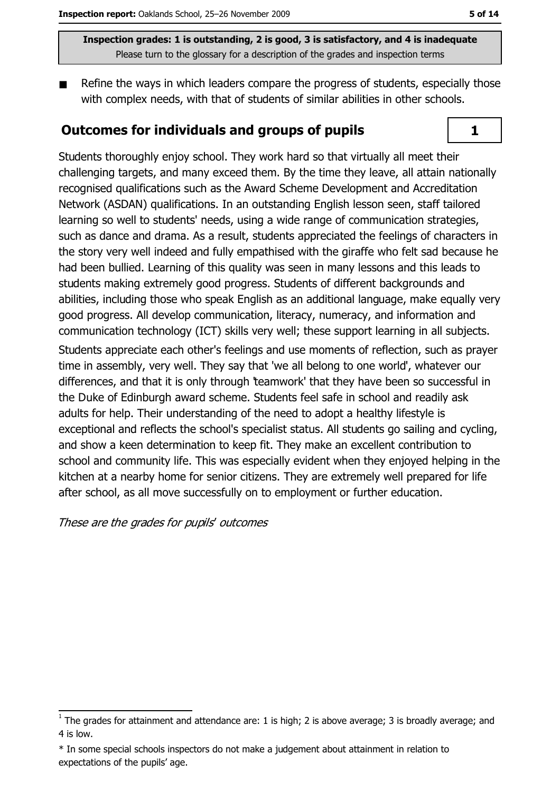Refine the ways in which leaders compare the progress of students, especially those with complex needs, with that of students of similar abilities in other schools.

#### **Outcomes for individuals and groups of pupils**



Students thoroughly enjoy school. They work hard so that virtually all meet their challenging targets, and many exceed them. By the time they leave, all attain nationally recognised qualifications such as the Award Scheme Development and Accreditation Network (ASDAN) qualifications. In an outstanding English lesson seen, staff tailored learning so well to students' needs, using a wide range of communication strategies, such as dance and drama. As a result, students appreciated the feelings of characters in the story very well indeed and fully empathised with the giraffe who felt sad because he had been bullied. Learning of this quality was seen in many lessons and this leads to students making extremely good progress. Students of different backgrounds and abilities, including those who speak English as an additional language, make equally very good progress. All develop communication, literacy, numeracy, and information and communication technology (ICT) skills very well; these support learning in all subjects. Students appreciate each other's feelings and use moments of reflection, such as prayer time in assembly, very well. They say that 'we all belong to one world', whatever our differences, and that it is only through 'teamwork' that they have been so successful in the Duke of Edinburgh award scheme. Students feel safe in school and readily ask adults for help. Their understanding of the need to adopt a healthy lifestyle is exceptional and reflects the school's specialist status. All students go sailing and cycling, and show a keen determination to keep fit. They make an excellent contribution to school and community life. This was especially evident when they enjoved helping in the kitchen at a nearby home for senior citizens. They are extremely well prepared for life after school, as all move successfully on to employment or further education.

These are the grades for pupils' outcomes

 $\overline{1}$  The grades for attainment and attendance are: 1 is high; 2 is above average; 3 is broadly average; and 4 is low.

<sup>\*</sup> In some special schools inspectors do not make a judgement about attainment in relation to expectations of the pupils' age.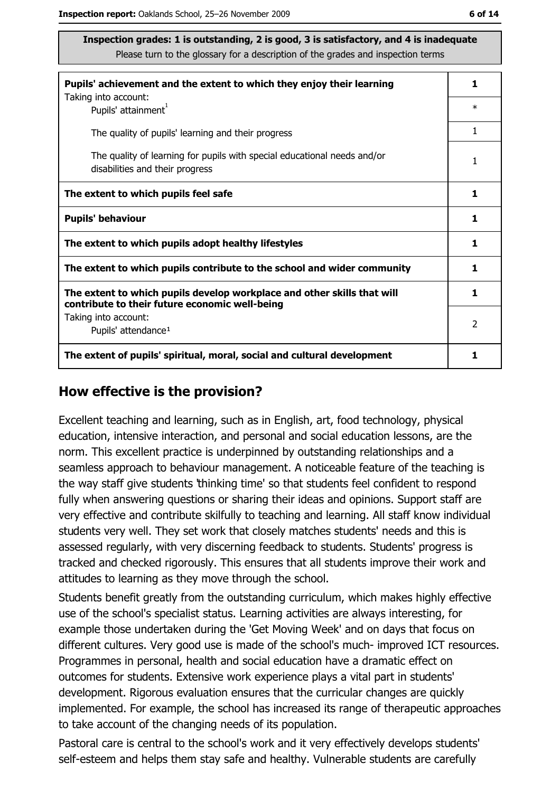| Pupils' achievement and the extent to which they enjoy their learning                                                     |                |
|---------------------------------------------------------------------------------------------------------------------------|----------------|
| Taking into account:<br>Pupils' attainment <sup>1</sup>                                                                   | $\ast$         |
| The quality of pupils' learning and their progress                                                                        | 1              |
| The quality of learning for pupils with special educational needs and/or<br>disabilities and their progress               |                |
| The extent to which pupils feel safe                                                                                      |                |
| <b>Pupils' behaviour</b>                                                                                                  |                |
| The extent to which pupils adopt healthy lifestyles                                                                       |                |
| The extent to which pupils contribute to the school and wider community                                                   |                |
| The extent to which pupils develop workplace and other skills that will<br>contribute to their future economic well-being |                |
| Taking into account:<br>Pupils' attendance <sup>1</sup>                                                                   | $\overline{2}$ |
| The extent of pupils' spiritual, moral, social and cultural development                                                   |                |

#### How effective is the provision?

Excellent teaching and learning, such as in English, art, food technology, physical education, intensive interaction, and personal and social education lessons, are the norm. This excellent practice is underpinned by outstanding relationships and a seamless approach to behaviour management. A noticeable feature of the teaching is the way staff give students 'thinking time' so that students feel confident to respond fully when answering questions or sharing their ideas and opinions. Support staff are very effective and contribute skilfully to teaching and learning. All staff know individual students very well. They set work that closely matches students' needs and this is assessed regularly, with very discerning feedback to students. Students' progress is tracked and checked rigorously. This ensures that all students improve their work and attitudes to learning as they move through the school.

Students benefit greatly from the outstanding curriculum, which makes highly effective use of the school's specialist status. Learning activities are always interesting, for example those undertaken during the 'Get Moving Week' and on days that focus on different cultures. Very good use is made of the school's much-improved ICT resources. Programmes in personal, health and social education have a dramatic effect on outcomes for students. Extensive work experience plays a vital part in students' development. Rigorous evaluation ensures that the curricular changes are quickly implemented. For example, the school has increased its range of therapeutic approaches to take account of the changing needs of its population.

Pastoral care is central to the school's work and it very effectively develops students' self-esteem and helps them stay safe and healthy. Vulnerable students are carefully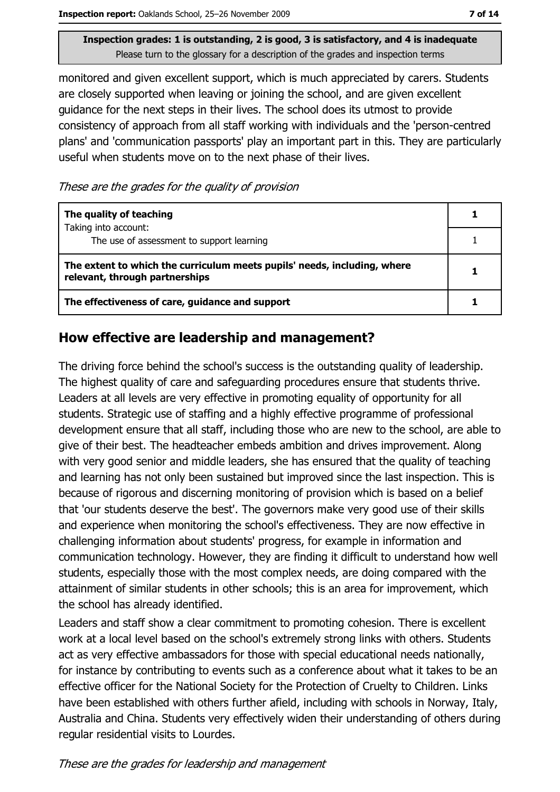monitored and given excellent support, which is much appreciated by carers. Students are closely supported when leaving or joining the school, and are given excellent quidance for the next steps in their lives. The school does its utmost to provide consistency of approach from all staff working with individuals and the 'person-centred plans' and 'communication passports' play an important part in this. They are particularly useful when students move on to the next phase of their lives.

These are the grades for the quality of provision

| The quality of teaching                                                                                    |  |
|------------------------------------------------------------------------------------------------------------|--|
| Taking into account:<br>The use of assessment to support learning                                          |  |
| The extent to which the curriculum meets pupils' needs, including, where<br>relevant, through partnerships |  |
| The effectiveness of care, guidance and support                                                            |  |

### How effective are leadership and management?

The driving force behind the school's success is the outstanding quality of leadership. The highest quality of care and safeguarding procedures ensure that students thrive. Leaders at all levels are very effective in promoting equality of opportunity for all students. Strategic use of staffing and a highly effective programme of professional development ensure that all staff, including those who are new to the school, are able to give of their best. The headteacher embeds ambition and drives improvement. Along with very good senior and middle leaders, she has ensured that the quality of teaching and learning has not only been sustained but improved since the last inspection. This is because of rigorous and discerning monitoring of provision which is based on a belief that 'our students deserve the best'. The governors make very good use of their skills and experience when monitoring the school's effectiveness. They are now effective in challenging information about students' progress, for example in information and communication technology. However, they are finding it difficult to understand how well students, especially those with the most complex needs, are doing compared with the attainment of similar students in other schools; this is an area for improvement, which the school has already identified.

Leaders and staff show a clear commitment to promoting cohesion. There is excellent work at a local level based on the school's extremely strong links with others. Students act as very effective ambassadors for those with special educational needs nationally, for instance by contributing to events such as a conference about what it takes to be an effective officer for the National Society for the Protection of Cruelty to Children. Links have been established with others further afield, including with schools in Norway, Italy, Australia and China. Students very effectively widen their understanding of others during regular residential visits to Lourdes.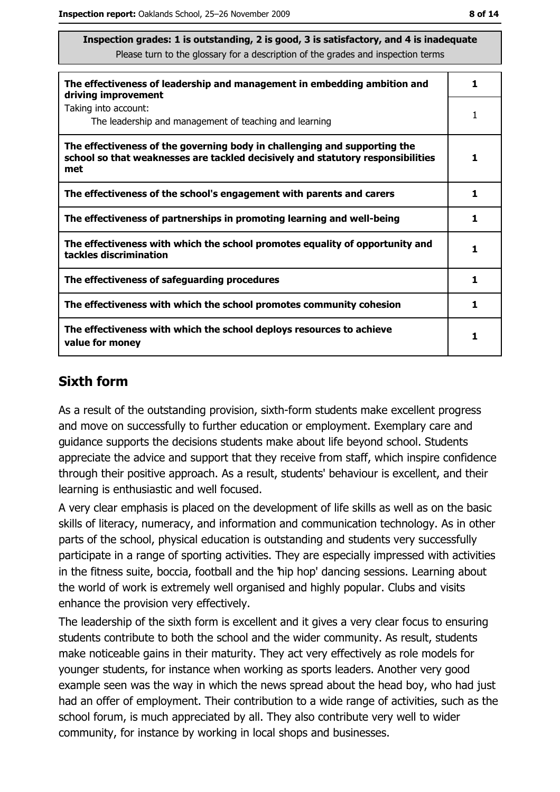| The effectiveness of leadership and management in embedding ambition and<br>driving improvement                                                                     | 1 |
|---------------------------------------------------------------------------------------------------------------------------------------------------------------------|---|
| Taking into account:<br>The leadership and management of teaching and learning                                                                                      |   |
| The effectiveness of the governing body in challenging and supporting the<br>school so that weaknesses are tackled decisively and statutory responsibilities<br>met |   |
| The effectiveness of the school's engagement with parents and carers                                                                                                | 1 |
| The effectiveness of partnerships in promoting learning and well-being                                                                                              | 1 |
| The effectiveness with which the school promotes equality of opportunity and<br>tackles discrimination                                                              | 1 |
| The effectiveness of safeguarding procedures                                                                                                                        | 1 |
| The effectiveness with which the school promotes community cohesion                                                                                                 | 1 |
| The effectiveness with which the school deploys resources to achieve<br>value for money                                                                             |   |

### **Sixth form**

As a result of the outstanding provision, sixth-form students make excellent progress and move on successfully to further education or employment. Exemplary care and guidance supports the decisions students make about life beyond school. Students appreciate the advice and support that they receive from staff, which inspire confidence through their positive approach. As a result, students' behaviour is excellent, and their learning is enthusiastic and well focused.

A very clear emphasis is placed on the development of life skills as well as on the basic skills of literacy, numeracy, and information and communication technology. As in other parts of the school, physical education is outstanding and students very successfully participate in a range of sporting activities. They are especially impressed with activities in the fitness suite, boccia, football and the 'hip hop' dancing sessions. Learning about the world of work is extremely well organised and highly popular. Clubs and visits enhance the provision very effectively.

The leadership of the sixth form is excellent and it gives a very clear focus to ensuring students contribute to both the school and the wider community. As result, students make noticeable gains in their maturity. They act very effectively as role models for younger students, for instance when working as sports leaders. Another very good example seen was the way in which the news spread about the head boy, who had just had an offer of employment. Their contribution to a wide range of activities, such as the school forum, is much appreciated by all. They also contribute very well to wider community, for instance by working in local shops and businesses.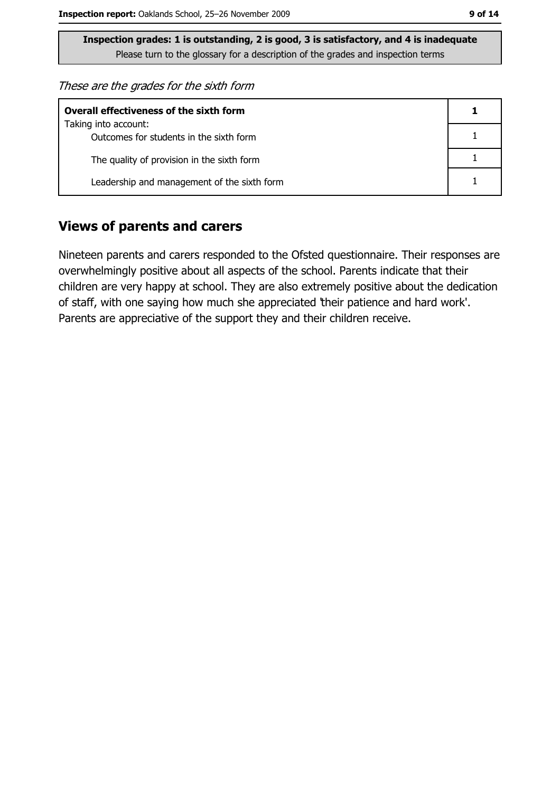These are the grades for the sixth form

| <b>Overall effectiveness of the sixth form</b>                  |  |  |
|-----------------------------------------------------------------|--|--|
| Taking into account:<br>Outcomes for students in the sixth form |  |  |
| The quality of provision in the sixth form                      |  |  |
| Leadership and management of the sixth form                     |  |  |

#### **Views of parents and carers**

Nineteen parents and carers responded to the Ofsted questionnaire. Their responses are overwhelmingly positive about all aspects of the school. Parents indicate that their children are very happy at school. They are also extremely positive about the dedication of staff, with one saying how much she appreciated their patience and hard work'. Parents are appreciative of the support they and their children receive.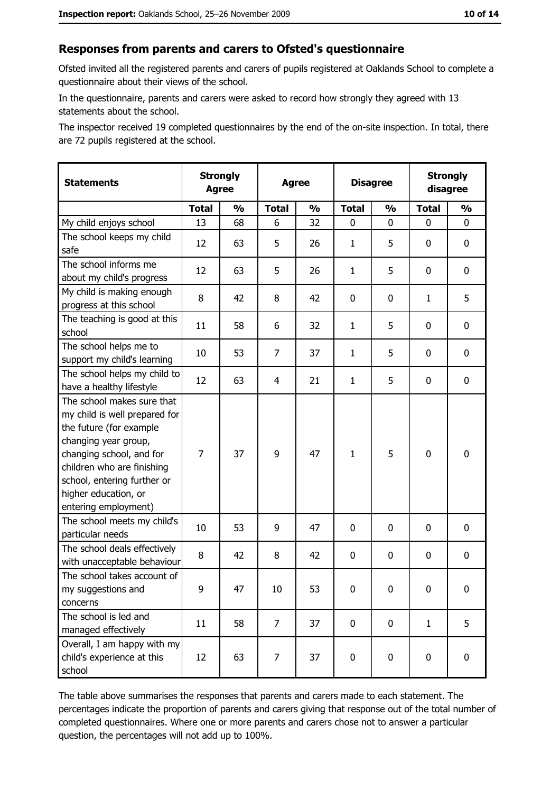#### Responses from parents and carers to Ofsted's questionnaire

Ofsted invited all the registered parents and carers of pupils registered at Oaklands School to complete a questionnaire about their views of the school.

In the questionnaire, parents and carers were asked to record how strongly they agreed with 13 statements about the school.

The inspector received 19 completed questionnaires by the end of the on-site inspection. In total, there are 72 pupils registered at the school.

| <b>Statements</b>                                                                                                                                                                                                                                       | <b>Strongly</b><br><b>Agree</b> |               | <b>Agree</b>   |               | <b>Disagree</b> |               | <b>Strongly</b><br>disagree |               |
|---------------------------------------------------------------------------------------------------------------------------------------------------------------------------------------------------------------------------------------------------------|---------------------------------|---------------|----------------|---------------|-----------------|---------------|-----------------------------|---------------|
|                                                                                                                                                                                                                                                         | <b>Total</b>                    | $\frac{1}{2}$ | <b>Total</b>   | $\frac{0}{0}$ | <b>Total</b>    | $\frac{0}{0}$ | <b>Total</b>                | $\frac{1}{2}$ |
| My child enjoys school                                                                                                                                                                                                                                  | 13                              | 68            | 6              | 32            | 0               | 0             | $\Omega$                    | $\mathbf 0$   |
| The school keeps my child<br>safe                                                                                                                                                                                                                       | 12                              | 63            | 5              | 26            | $\mathbf{1}$    | 5             | 0                           | $\mathbf 0$   |
| The school informs me<br>about my child's progress                                                                                                                                                                                                      | 12                              | 63            | 5              | 26            | $\mathbf{1}$    | 5             | 0                           | $\mathbf 0$   |
| My child is making enough<br>progress at this school                                                                                                                                                                                                    | 8                               | 42            | 8              | 42            | $\mathbf 0$     | 0             | $\mathbf{1}$                | 5             |
| The teaching is good at this<br>school                                                                                                                                                                                                                  | 11                              | 58            | 6              | 32            | $\mathbf{1}$    | 5             | 0                           | 0             |
| The school helps me to<br>support my child's learning                                                                                                                                                                                                   | 10                              | 53            | 7              | 37            | $\mathbf{1}$    | 5             | 0                           | 0             |
| The school helps my child to<br>have a healthy lifestyle                                                                                                                                                                                                | 12                              | 63            | $\overline{4}$ | 21            | $\mathbf{1}$    | 5             | 0                           | $\mathbf 0$   |
| The school makes sure that<br>my child is well prepared for<br>the future (for example<br>changing year group,<br>changing school, and for<br>children who are finishing<br>school, entering further or<br>higher education, or<br>entering employment) | $\overline{7}$                  | 37            | 9              | 47            | $\mathbf{1}$    | 5             | $\mathbf 0$                 | $\mathbf 0$   |
| The school meets my child's<br>particular needs                                                                                                                                                                                                         | 10                              | 53            | 9              | 47            | $\mathbf 0$     | 0             | 0                           | 0             |
| The school deals effectively<br>with unacceptable behaviour                                                                                                                                                                                             | 8                               | 42            | 8              | 42            | $\mathbf 0$     | 0             | 0                           | $\mathbf 0$   |
| The school takes account of<br>my suggestions and<br>concerns                                                                                                                                                                                           | 9                               | 47            | 10             | 53            | 0               | 0             | 0                           | 0             |
| The school is led and<br>managed effectively                                                                                                                                                                                                            | 11                              | 58            | $\overline{7}$ | 37            | 0               | 0             | $\mathbf{1}$                | 5             |
| Overall, I am happy with my<br>child's experience at this<br>school                                                                                                                                                                                     | 12                              | 63            | 7              | 37            | $\mathbf 0$     | 0             | $\mathbf 0$                 | $\mathbf 0$   |

The table above summarises the responses that parents and carers made to each statement. The percentages indicate the proportion of parents and carers giving that response out of the total number of completed questionnaires. Where one or more parents and carers chose not to answer a particular question, the percentages will not add up to 100%.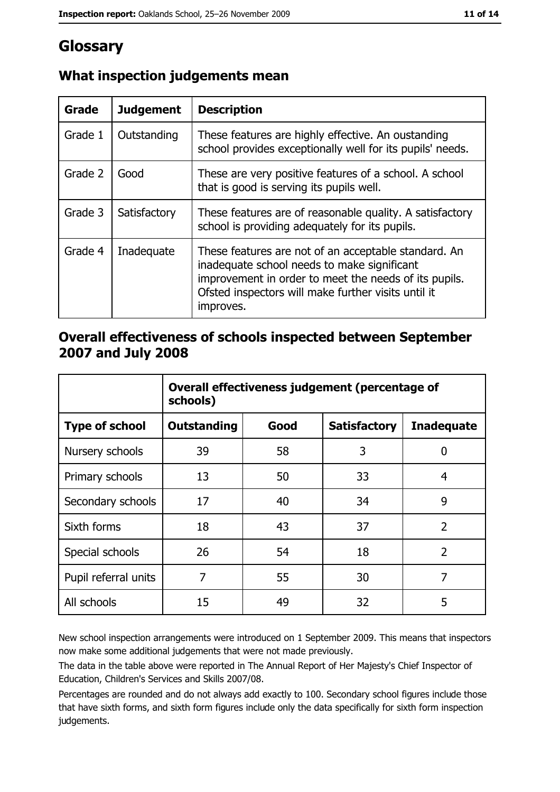# Glossary

| Grade   | <b>Judgement</b> | <b>Description</b>                                                                                                                                                                                                               |
|---------|------------------|----------------------------------------------------------------------------------------------------------------------------------------------------------------------------------------------------------------------------------|
| Grade 1 | Outstanding      | These features are highly effective. An oustanding<br>school provides exceptionally well for its pupils' needs.                                                                                                                  |
| Grade 2 | Good             | These are very positive features of a school. A school<br>that is good is serving its pupils well.                                                                                                                               |
| Grade 3 | Satisfactory     | These features are of reasonable quality. A satisfactory<br>school is providing adequately for its pupils.                                                                                                                       |
| Grade 4 | Inadequate       | These features are not of an acceptable standard. An<br>inadequate school needs to make significant<br>improvement in order to meet the needs of its pupils.<br>Ofsted inspectors will make further visits until it<br>improves. |

## What inspection judgements mean

#### Overall effectiveness of schools inspected between September 2007 and July 2008

|                       | Overall effectiveness judgement (percentage of<br>schools) |      |                     |                   |
|-----------------------|------------------------------------------------------------|------|---------------------|-------------------|
| <b>Type of school</b> | <b>Outstanding</b>                                         | Good | <b>Satisfactory</b> | <b>Inadequate</b> |
| Nursery schools       | 39                                                         | 58   | 3                   | 0                 |
| Primary schools       | 13                                                         | 50   | 33                  | 4                 |
| Secondary schools     | 17                                                         | 40   | 34                  | 9                 |
| Sixth forms           | 18                                                         | 43   | 37                  | $\overline{2}$    |
| Special schools       | 26                                                         | 54   | 18                  | $\overline{2}$    |
| Pupil referral units  | 7                                                          | 55   | 30                  | 7                 |
| All schools           | 15                                                         | 49   | 32                  | 5                 |

New school inspection arrangements were introduced on 1 September 2009. This means that inspectors now make some additional judgements that were not made previously.

The data in the table above were reported in The Annual Report of Her Majesty's Chief Inspector of Education, Children's Services and Skills 2007/08.

Percentages are rounded and do not always add exactly to 100. Secondary school figures include those that have sixth forms, and sixth form figures include only the data specifically for sixth form inspection judgements.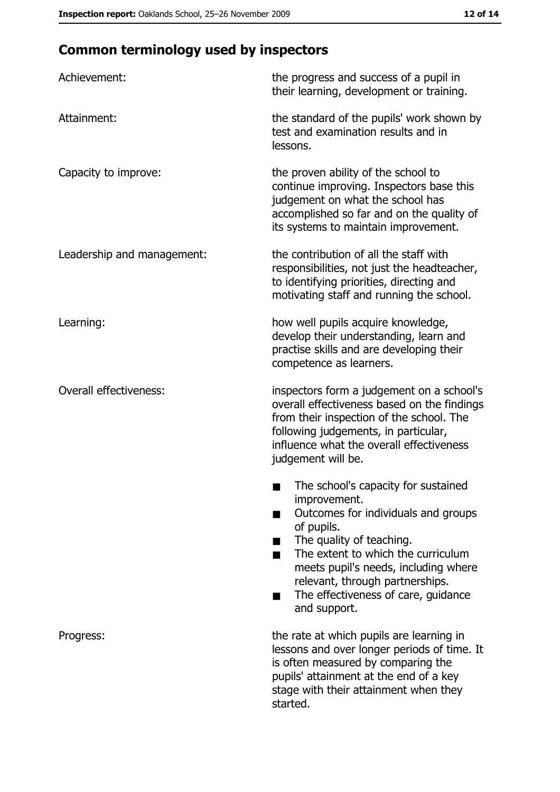# **Common terminology used by inspectors**

| Achievement:                  | the progress and success of a pupil in<br>their learning, development or training.                                                                                                                                                                                                                           |
|-------------------------------|--------------------------------------------------------------------------------------------------------------------------------------------------------------------------------------------------------------------------------------------------------------------------------------------------------------|
| Attainment:                   | the standard of the pupils' work shown by<br>test and examination results and in<br>lessons.                                                                                                                                                                                                                 |
| Capacity to improve:          | the proven ability of the school to<br>continue improving. Inspectors base this<br>judgement on what the school has<br>accomplished so far and on the quality of<br>its systems to maintain improvement.                                                                                                     |
| Leadership and management:    | the contribution of all the staff with<br>responsibilities, not just the headteacher,<br>to identifying priorities, directing and<br>motivating staff and running the school.                                                                                                                                |
| Learning:                     | how well pupils acquire knowledge,<br>develop their understanding, learn and<br>practise skills and are developing their<br>competence as learners.                                                                                                                                                          |
| <b>Overall effectiveness:</b> | inspectors form a judgement on a school's<br>overall effectiveness based on the findings<br>from their inspection of the school. The<br>following judgements, in particular,<br>influence what the overall effectiveness<br>judgement will be.                                                               |
|                               | The school's capacity for sustained<br>improvement.<br>Outcomes for individuals and groups<br>of pupils.<br>The quality of teaching.<br>The extent to which the curriculum<br>meets pupil's needs, including where<br>relevant, through partnerships.<br>The effectiveness of care, guidance<br>and support. |
| Progress:                     | the rate at which pupils are learning in<br>lessons and over longer periods of time. It<br>is often measured by comparing the<br>pupils' attainment at the end of a key<br>stage with their attainment when they<br>started.                                                                                 |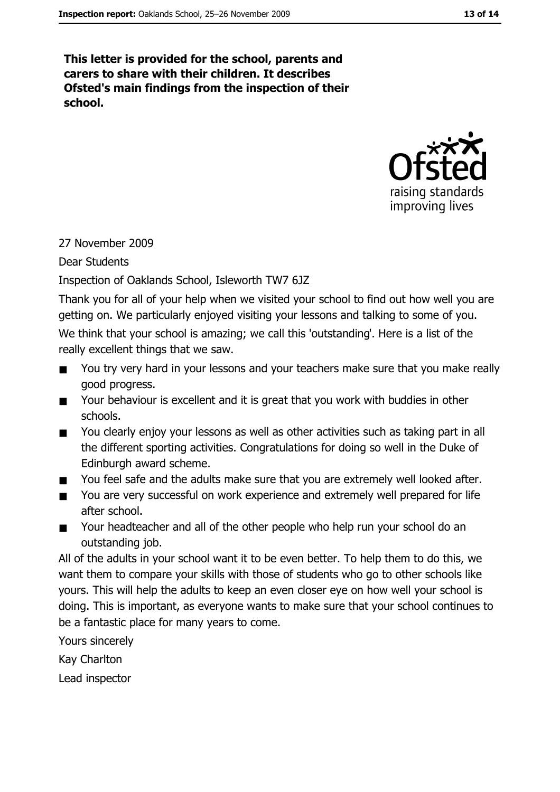This letter is provided for the school, parents and carers to share with their children. It describes Ofsted's main findings from the inspection of their school.



#### 27 November 2009

**Dear Students** 

#### Inspection of Oaklands School, Isleworth TW7 6JZ

Thank you for all of your help when we visited your school to find out how well you are getting on. We particularly enjoyed visiting your lessons and talking to some of you.

We think that your school is amazing; we call this 'outstanding'. Here is a list of the really excellent things that we saw.

- You try very hard in your lessons and your teachers make sure that you make really  $\blacksquare$ good progress.
- Your behaviour is excellent and it is great that you work with buddies in other  $\blacksquare$ schools.
- You clearly enjoy your lessons as well as other activities such as taking part in all  $\blacksquare$ the different sporting activities. Congratulations for doing so well in the Duke of Edinburgh award scheme.
- You feel safe and the adults make sure that you are extremely well looked after.  $\blacksquare$
- You are very successful on work experience and extremely well prepared for life  $\blacksquare$ after school.
- Your headteacher and all of the other people who help run your school do an  $\blacksquare$ outstanding job.

All of the adults in your school want it to be even better. To help them to do this, we want them to compare your skills with those of students who go to other schools like yours. This will help the adults to keep an even closer eye on how well your school is doing. This is important, as everyone wants to make sure that your school continues to be a fantastic place for many years to come.

Yours sincerely

Kay Charlton

Lead inspector